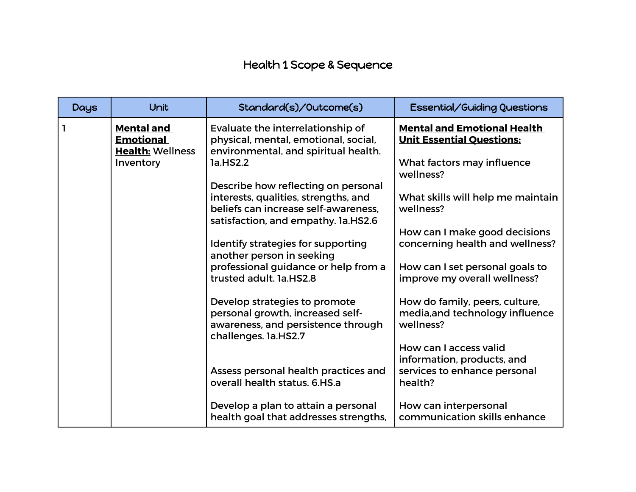## Health 1 Scope & Sequence

| <b>Days</b> | Unit                                                                          | Standard(s)/Outcome(s)                                                                                                          | Essential/Guiding Questions                                                                          |
|-------------|-------------------------------------------------------------------------------|---------------------------------------------------------------------------------------------------------------------------------|------------------------------------------------------------------------------------------------------|
| $\vert$ 1   | <b>Mental and</b><br><b>Emotional</b><br><b>Health: Wellness</b><br>Inventory | Evaluate the interrelationship of<br>physical, mental, emotional, social,<br>environmental, and spiritual health.<br>1a.HS2.2   | <b>Mental and Emotional Health</b><br><b>Unit Essential Questions:</b><br>What factors may influence |
|             |                                                                               | Describe how reflecting on personal                                                                                             | wellness?                                                                                            |
|             |                                                                               | interests, qualities, strengths, and<br>beliefs can increase self-awareness,<br>satisfaction, and empathy. 1a.HS2.6             | What skills will help me maintain<br>wellness?                                                       |
|             |                                                                               |                                                                                                                                 | How can I make good decisions                                                                        |
|             |                                                                               | Identify strategies for supporting<br>another person in seeking                                                                 | concerning health and wellness?                                                                      |
|             |                                                                               | professional guidance or help from a                                                                                            | How can I set personal goals to                                                                      |
|             |                                                                               | trusted adult. 1a.HS2.8                                                                                                         | improve my overall wellness?                                                                         |
|             |                                                                               | Develop strategies to promote<br>personal growth, increased self-<br>awareness, and persistence through<br>challenges. 1a.HS2.7 | How do family, peers, culture,<br>media, and technology influence<br>wellness?                       |
|             |                                                                               |                                                                                                                                 | How can I access valid<br>information, products, and                                                 |
|             |                                                                               | Assess personal health practices and<br>overall health status, 6.HS.a                                                           | services to enhance personal<br>health?                                                              |
|             |                                                                               | Develop a plan to attain a personal<br>health goal that addresses strengths,                                                    | How can interpersonal<br>communication skills enhance                                                |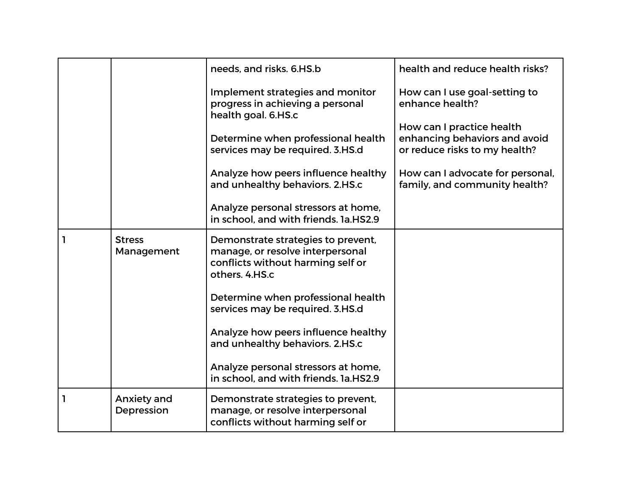|              |                                  | needs, and risks, 6.HS.b                                                                                                      | health and reduce health risks?                                                             |
|--------------|----------------------------------|-------------------------------------------------------------------------------------------------------------------------------|---------------------------------------------------------------------------------------------|
|              |                                  | Implement strategies and monitor<br>progress in achieving a personal<br>health goal. 6.HS.c                                   | How can I use goal-setting to<br>enhance health?                                            |
|              |                                  | Determine when professional health<br>services may be required. 3.HS.d                                                        | How can I practice health<br>enhancing behaviors and avoid<br>or reduce risks to my health? |
|              |                                  | Analyze how peers influence healthy<br>and unhealthy behaviors. 2.HS.c                                                        | How can I advocate for personal,<br>family, and community health?                           |
|              |                                  | Analyze personal stressors at home,<br>in school, and with friends, 1a.HS2.9                                                  |                                                                                             |
| $\mathbf{I}$ | <b>Stress</b><br>Management      | Demonstrate strategies to prevent,<br>manage, or resolve interpersonal<br>conflicts without harming self or<br>others. 4.HS.c |                                                                                             |
|              |                                  | Determine when professional health<br>services may be required. 3.HS.d                                                        |                                                                                             |
|              |                                  | Analyze how peers influence healthy<br>and unhealthy behaviors. 2.HS.c                                                        |                                                                                             |
|              |                                  | Analyze personal stressors at home,<br>in school, and with friends, 1a.HS2.9                                                  |                                                                                             |
| 1            | <b>Anxiety and</b><br>Depression | Demonstrate strategies to prevent,<br>manage, or resolve interpersonal<br>conflicts without harming self or                   |                                                                                             |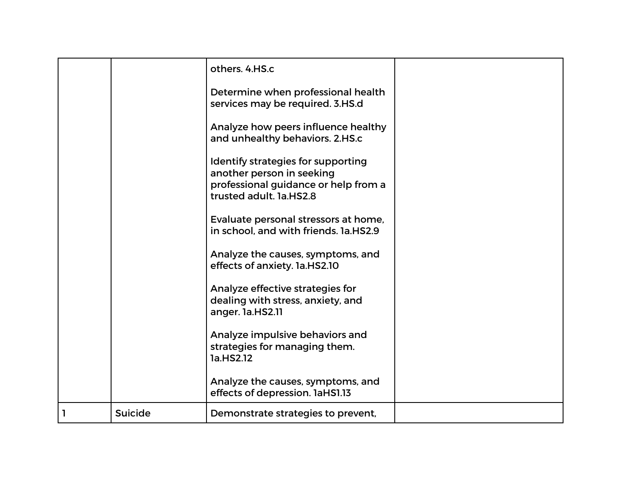|    |                | others. 4.HS.c                                                                                                                     |  |
|----|----------------|------------------------------------------------------------------------------------------------------------------------------------|--|
|    |                | Determine when professional health<br>services may be required. 3.HS.d                                                             |  |
|    |                | Analyze how peers influence healthy<br>and unhealthy behaviors. 2.HS.c                                                             |  |
|    |                | Identify strategies for supporting<br>another person in seeking<br>professional guidance or help from a<br>trusted adult. 1a.HS2.8 |  |
|    |                | Evaluate personal stressors at home,<br>in school, and with friends, 1a.HS2.9                                                      |  |
|    |                | Analyze the causes, symptoms, and<br>effects of anxiety. 1a.HS2.10                                                                 |  |
|    |                | Analyze effective strategies for<br>dealing with stress, anxiety, and<br>anger. la.HS2.11                                          |  |
|    |                | Analyze impulsive behaviors and<br>strategies for managing them.<br>1a.HS2.12                                                      |  |
|    |                | Analyze the causes, symptoms, and<br>effects of depression. 1aHS1.13                                                               |  |
| П. | <b>Suicide</b> | Demonstrate strategies to prevent,                                                                                                 |  |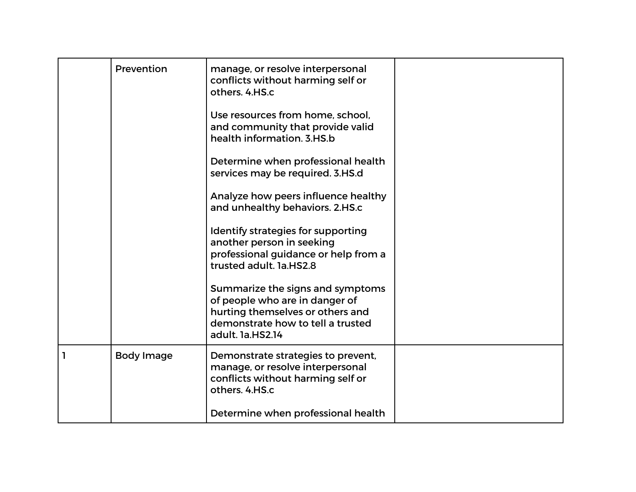|   | Prevention        | manage, or resolve interpersonal<br>conflicts without harming self or<br>others. 4.HS.c                                                                         |  |
|---|-------------------|-----------------------------------------------------------------------------------------------------------------------------------------------------------------|--|
|   |                   | Use resources from home, school,<br>and community that provide valid<br>health information, 3.HS.b                                                              |  |
|   |                   | Determine when professional health<br>services may be required. 3.HS.d                                                                                          |  |
|   |                   | Analyze how peers influence healthy<br>and unhealthy behaviors. 2.HS.c                                                                                          |  |
|   |                   | Identify strategies for supporting<br>another person in seeking<br>professional guidance or help from a<br>trusted adult. 1a.HS2.8                              |  |
|   |                   | Summarize the signs and symptoms<br>of people who are in danger of<br>hurting themselves or others and<br>demonstrate how to tell a trusted<br>adult. 1a.HS2.14 |  |
| 1 | <b>Body Image</b> | Demonstrate strategies to prevent,<br>manage, or resolve interpersonal<br>conflicts without harming self or<br>others. 4.HS.c                                   |  |
|   |                   | Determine when professional health                                                                                                                              |  |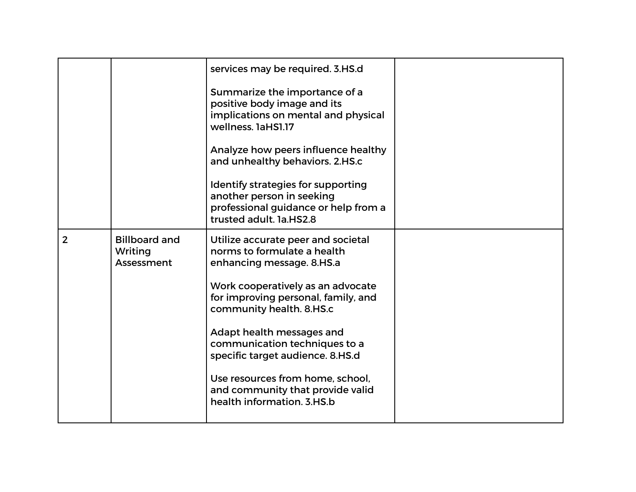|                |                                               | services may be required. 3.HS.d                                                                                                   |  |
|----------------|-----------------------------------------------|------------------------------------------------------------------------------------------------------------------------------------|--|
|                |                                               | Summarize the importance of a<br>positive body image and its<br>implications on mental and physical<br>wellness, 1aHS1.17          |  |
|                |                                               | Analyze how peers influence healthy<br>and unhealthy behaviors. 2.HS.c                                                             |  |
|                |                                               | Identify strategies for supporting<br>another person in seeking<br>professional guidance or help from a<br>trusted adult. 1a.HS2.8 |  |
| $\overline{2}$ | <b>Billboard and</b><br>Writing<br>Assessment | Utilize accurate peer and societal<br>norms to formulate a health<br>enhancing message. 8.HS.a                                     |  |
|                |                                               | Work cooperatively as an advocate<br>for improving personal, family, and<br>community health. 8.HS.c                               |  |
|                |                                               | Adapt health messages and<br>communication techniques to a<br>specific target audience. 8.HS.d                                     |  |
|                |                                               | Use resources from home, school,<br>and community that provide valid<br>health information, 3.HS.b                                 |  |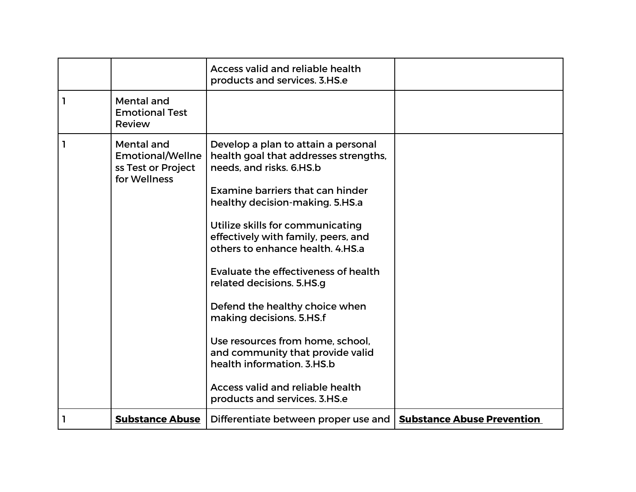|   |                                                                             | <b>Access valid and reliable health</b><br>products and services. 3.HS.e                                                                                                                                                                                                                                                                                                                                                                                                                                                                                                                                                   |                                   |
|---|-----------------------------------------------------------------------------|----------------------------------------------------------------------------------------------------------------------------------------------------------------------------------------------------------------------------------------------------------------------------------------------------------------------------------------------------------------------------------------------------------------------------------------------------------------------------------------------------------------------------------------------------------------------------------------------------------------------------|-----------------------------------|
| 1 | Mental and<br><b>Emotional Test</b><br>Review                               |                                                                                                                                                                                                                                                                                                                                                                                                                                                                                                                                                                                                                            |                                   |
| 1 | Mental and<br><b>Emotional/Wellne</b><br>ss Test or Project<br>for Wellness | Develop a plan to attain a personal<br>health goal that addresses strengths,<br>needs, and risks. 6.HS.b<br><b>Examine barriers that can hinder</b><br>healthy decision-making. 5.HS.a<br>Utilize skills for communicating<br>effectively with family, peers, and<br>others to enhance health, 4.HS.a<br>Evaluate the effectiveness of health<br>related decisions. 5.HS.g<br>Defend the healthy choice when<br>making decisions. 5.HS.f<br>Use resources from home, school,<br>and community that provide valid<br>health information, 3.HS.b<br><b>Access valid and reliable health</b><br>products and services. 3.HS.e |                                   |
| 1 | <b>Substance Abuse</b>                                                      | Differentiate between proper use and                                                                                                                                                                                                                                                                                                                                                                                                                                                                                                                                                                                       | <b>Substance Abuse Prevention</b> |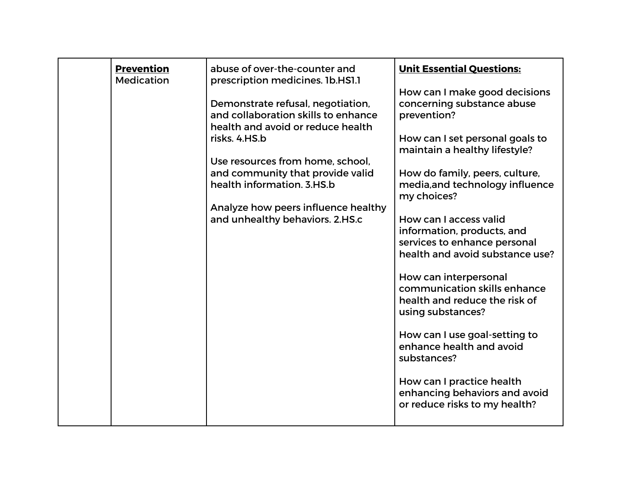| <b>Prevention</b><br><b>Medication</b> | abuse of over-the-counter and<br>prescription medicines. 1b.HS1.1                                             | <b>Unit Essential Questions:</b><br>How can I make good decisions                                           |
|----------------------------------------|---------------------------------------------------------------------------------------------------------------|-------------------------------------------------------------------------------------------------------------|
|                                        | Demonstrate refusal, negotiation,<br>and collaboration skills to enhance<br>health and avoid or reduce health | concerning substance abuse<br>prevention?                                                                   |
|                                        | risks, 4.HS.b<br>Use resources from home, school,                                                             | How can I set personal goals to<br>maintain a healthy lifestyle?                                            |
|                                        | and community that provide valid<br>health information, 3.HS.b                                                | How do family, peers, culture,<br>media, and technology influence<br>my choices?                            |
|                                        | Analyze how peers influence healthy<br>and unhealthy behaviors. 2.HS.c                                        | How can I access valid<br>information, products, and                                                        |
|                                        |                                                                                                               | services to enhance personal<br>health and avoid substance use?                                             |
|                                        |                                                                                                               | How can interpersonal<br>communication skills enhance<br>health and reduce the risk of<br>using substances? |
|                                        |                                                                                                               | How can I use goal-setting to<br>enhance health and avoid<br>substances?                                    |
|                                        |                                                                                                               | How can I practice health<br>enhancing behaviors and avoid<br>or reduce risks to my health?                 |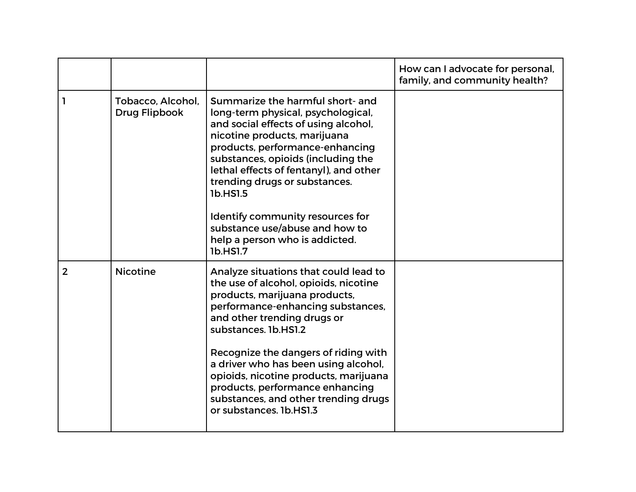|                |                                    |                                                                                                                                                                                                                                                                                                                                                                                                                                            | How can I advocate for personal,<br>family, and community health? |
|----------------|------------------------------------|--------------------------------------------------------------------------------------------------------------------------------------------------------------------------------------------------------------------------------------------------------------------------------------------------------------------------------------------------------------------------------------------------------------------------------------------|-------------------------------------------------------------------|
|                | Tobacco, Alcohol,<br>Drug Flipbook | Summarize the harmful short- and<br>long-term physical, psychological,<br>and social effects of using alcohol,<br>nicotine products, marijuana<br>products, performance-enhancing<br>substances, opioids (including the<br>lethal effects of fentanyl), and other<br>trending drugs or substances.<br>1b.HS1.5<br>Identify community resources for<br>substance use/abuse and how to<br>help a person who is addicted.<br>1b.HS1.7         |                                                                   |
| $\overline{2}$ | <b>Nicotine</b>                    | Analyze situations that could lead to<br>the use of alcohol, opioids, nicotine<br>products, marijuana products,<br>performance-enhancing substances,<br>and other trending drugs or<br>substances. 1b.HS1.2<br>Recognize the dangers of riding with<br>a driver who has been using alcohol,<br>opioids, nicotine products, marijuana<br>products, performance enhancing<br>substances, and other trending drugs<br>or substances. 1b.HS1.3 |                                                                   |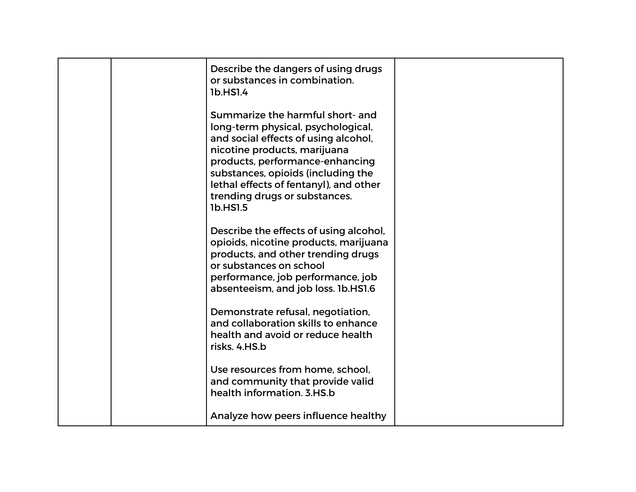|  | Describe the dangers of using drugs<br>or substances in combination.<br>1b.HS1.4                                                                                                                                                                                                                               |  |
|--|----------------------------------------------------------------------------------------------------------------------------------------------------------------------------------------------------------------------------------------------------------------------------------------------------------------|--|
|  | Summarize the harmful short- and<br>long-term physical, psychological,<br>and social effects of using alcohol,<br>nicotine products, marijuana<br>products, performance-enhancing<br>substances, opioids (including the<br>lethal effects of fentanyl), and other<br>trending drugs or substances.<br>1b.HS1.5 |  |
|  | Describe the effects of using alcohol,<br>opioids, nicotine products, marijuana<br>products, and other trending drugs<br>or substances on school<br>performance, job performance, job<br>absenteeism, and job loss. 1b.HS1.6                                                                                   |  |
|  | Demonstrate refusal, negotiation,<br>and collaboration skills to enhance<br>health and avoid or reduce health<br>risks, 4.HS.b                                                                                                                                                                                 |  |
|  | Use resources from home, school,<br>and community that provide valid<br>health information. 3.HS.b                                                                                                                                                                                                             |  |
|  | Analyze how peers influence healthy                                                                                                                                                                                                                                                                            |  |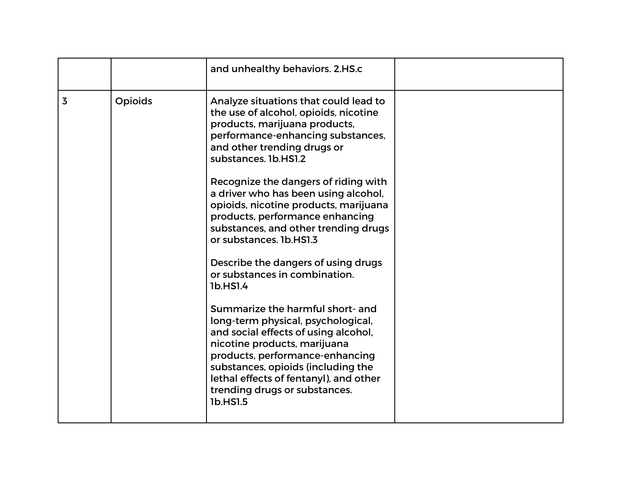|   |         | and unhealthy behaviors. 2.HS.c                                                                                                                                                                                                                                                                                                                                                                                                                                                                                                                                                                                                                                                                                                                                                                                                                  |  |
|---|---------|--------------------------------------------------------------------------------------------------------------------------------------------------------------------------------------------------------------------------------------------------------------------------------------------------------------------------------------------------------------------------------------------------------------------------------------------------------------------------------------------------------------------------------------------------------------------------------------------------------------------------------------------------------------------------------------------------------------------------------------------------------------------------------------------------------------------------------------------------|--|
| 3 | Opioids | Analyze situations that could lead to<br>the use of alcohol, opioids, nicotine<br>products, marijuana products,<br>performance-enhancing substances,<br>and other trending drugs or<br>substances. 1b.HS1.2<br>Recognize the dangers of riding with<br>a driver who has been using alcohol,<br>opioids, nicotine products, marijuana<br>products, performance enhancing<br>substances, and other trending drugs<br>or substances. 1b.HS1.3<br>Describe the dangers of using drugs<br>or substances in combination.<br>1b.HS1.4<br>Summarize the harmful short- and<br>long-term physical, psychological,<br>and social effects of using alcohol,<br>nicotine products, marijuana<br>products, performance-enhancing<br>substances, opioids (including the<br>lethal effects of fentanyl), and other<br>trending drugs or substances.<br>1b.HS1.5 |  |
|   |         |                                                                                                                                                                                                                                                                                                                                                                                                                                                                                                                                                                                                                                                                                                                                                                                                                                                  |  |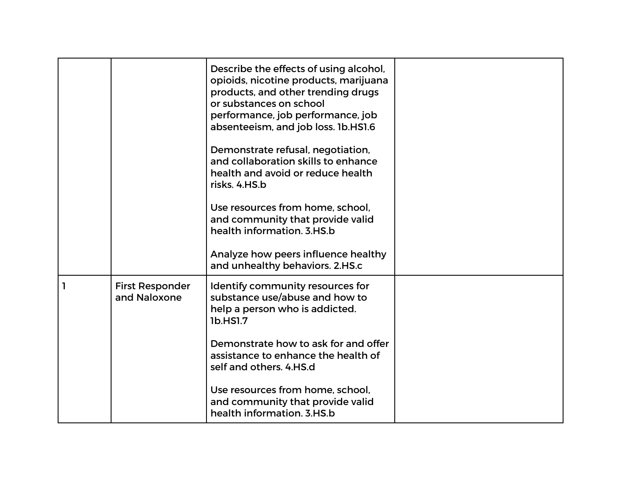|                                        | Describe the effects of using alcohol,<br>opioids, nicotine products, marijuana<br>products, and other trending drugs<br>or substances on school<br>performance, job performance, job<br>absenteeism, and job loss. 1b.HS1.6<br>Demonstrate refusal, negotiation,<br>and collaboration skills to enhance<br>health and avoid or reduce health<br>risks. 4.HS.b<br>Use resources from home, school,<br>and community that provide valid<br>health information, 3.HS.b<br>Analyze how peers influence healthy |  |
|----------------------------------------|-------------------------------------------------------------------------------------------------------------------------------------------------------------------------------------------------------------------------------------------------------------------------------------------------------------------------------------------------------------------------------------------------------------------------------------------------------------------------------------------------------------|--|
|                                        | and unhealthy behaviors. 2.HS.c                                                                                                                                                                                                                                                                                                                                                                                                                                                                             |  |
| <b>First Responder</b><br>and Naloxone | Identify community resources for<br>substance use/abuse and how to<br>help a person who is addicted.<br>1b.HS1.7                                                                                                                                                                                                                                                                                                                                                                                            |  |
|                                        | Demonstrate how to ask for and offer<br>assistance to enhance the health of<br>self and others. 4.HS.d                                                                                                                                                                                                                                                                                                                                                                                                      |  |
|                                        | Use resources from home, school,<br>and community that provide valid<br>health information. 3.HS.b                                                                                                                                                                                                                                                                                                                                                                                                          |  |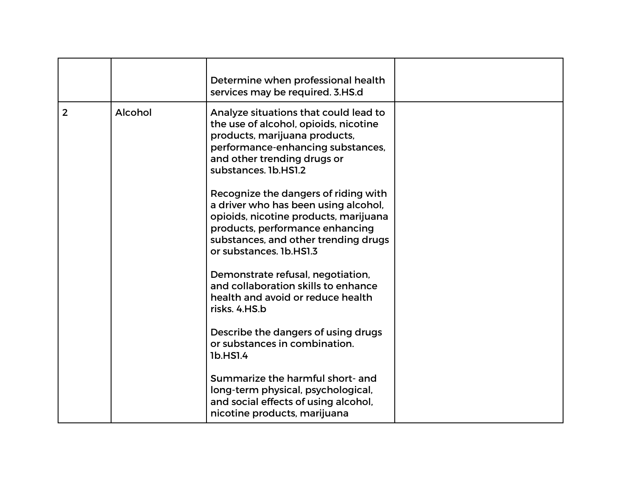|                |         | Determine when professional health<br>services may be required. 3.HS.d                                                                                                                                                      |  |
|----------------|---------|-----------------------------------------------------------------------------------------------------------------------------------------------------------------------------------------------------------------------------|--|
| $\overline{2}$ | Alcohol | Analyze situations that could lead to<br>the use of alcohol, opioids, nicotine<br>products, marijuana products,<br>performance-enhancing substances,<br>and other trending drugs or<br>substances. 1b.HS1.2                 |  |
|                |         | Recognize the dangers of riding with<br>a driver who has been using alcohol,<br>opioids, nicotine products, marijuana<br>products, performance enhancing<br>substances, and other trending drugs<br>or substances. 1b.HS1.3 |  |
|                |         | Demonstrate refusal, negotiation,<br>and collaboration skills to enhance<br>health and avoid or reduce health<br>risks, 4.HS.b                                                                                              |  |
|                |         | Describe the dangers of using drugs<br>or substances in combination.<br>1b.HS1.4                                                                                                                                            |  |
|                |         | Summarize the harmful short- and<br>long-term physical, psychological,<br>and social effects of using alcohol,<br>nicotine products, marijuana                                                                              |  |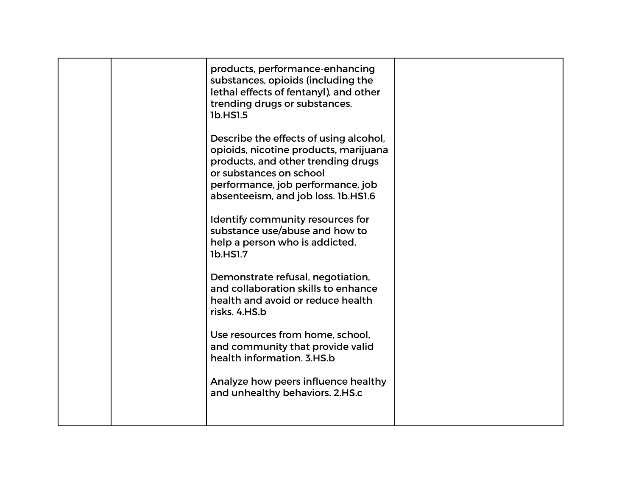|  | products, performance-enhancing<br>substances, opioids (including the<br>lethal effects of fentanyl), and other<br>trending drugs or substances.<br>1b.HS1.5<br>Describe the effects of using alcohol,<br>opioids, nicotine products, marijuana<br>products, and other trending drugs<br>or substances on school<br>performance, job performance, job<br>absenteeism, and job loss. 1b.HS1.6<br>Identify community resources for |  |
|--|----------------------------------------------------------------------------------------------------------------------------------------------------------------------------------------------------------------------------------------------------------------------------------------------------------------------------------------------------------------------------------------------------------------------------------|--|
|  | substance use/abuse and how to<br>help a person who is addicted.<br>1b.HS1.7                                                                                                                                                                                                                                                                                                                                                     |  |
|  | Demonstrate refusal, negotiation,<br>and collaboration skills to enhance<br>health and avoid or reduce health<br>risks. 4.HS.b                                                                                                                                                                                                                                                                                                   |  |
|  | Use resources from home, school,<br>and community that provide valid<br>health information, 3.HS.b                                                                                                                                                                                                                                                                                                                               |  |
|  | Analyze how peers influence healthy<br>and unhealthy behaviors. 2.HS.c                                                                                                                                                                                                                                                                                                                                                           |  |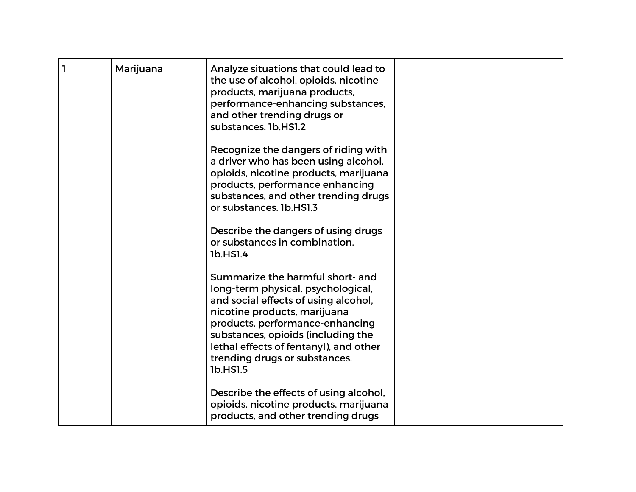| $\mathbf{I}$ | Marijuana | Analyze situations that could lead to<br>the use of alcohol, opioids, nicotine<br>products, marijuana products,<br>performance-enhancing substances,<br>and other trending drugs or<br>substances. 1b.HS1.2                                                                                                    |  |
|--------------|-----------|----------------------------------------------------------------------------------------------------------------------------------------------------------------------------------------------------------------------------------------------------------------------------------------------------------------|--|
|              |           |                                                                                                                                                                                                                                                                                                                |  |
|              |           | Recognize the dangers of riding with<br>a driver who has been using alcohol,<br>opioids, nicotine products, marijuana<br>products, performance enhancing<br>substances, and other trending drugs<br>or substances. 1b.HS1.3                                                                                    |  |
|              |           | Describe the dangers of using drugs<br>or substances in combination.<br>1b.HS1.4                                                                                                                                                                                                                               |  |
|              |           | Summarize the harmful short- and<br>long-term physical, psychological,<br>and social effects of using alcohol,<br>nicotine products, marijuana<br>products, performance-enhancing<br>substances, opioids (including the<br>lethal effects of fentanyl), and other<br>trending drugs or substances.<br>1b.HS1.5 |  |
|              |           | Describe the effects of using alcohol,<br>opioids, nicotine products, marijuana<br>products, and other trending drugs                                                                                                                                                                                          |  |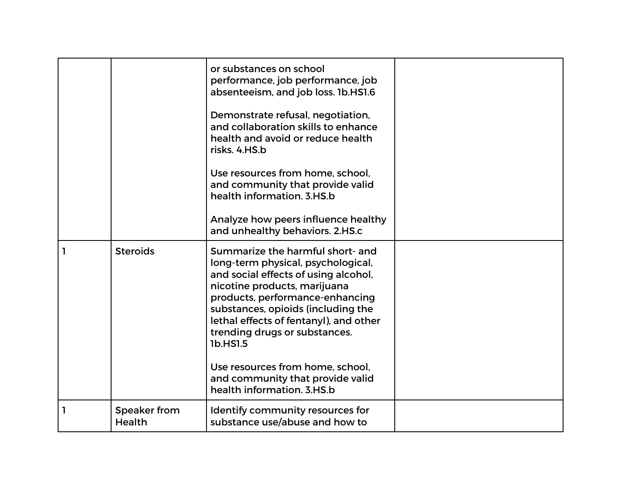|   |                               | or substances on school<br>performance, job performance, job<br>absenteeism, and job loss. 1b.HS1.6<br>Demonstrate refusal, negotiation,<br>and collaboration skills to enhance<br>health and avoid or reduce health<br>risks, 4.HS.b<br>Use resources from home, school,<br>and community that provide valid<br>health information, 3.HS.b<br>Analyze how peers influence healthy<br>and unhealthy behaviors. 2.HS.c |  |
|---|-------------------------------|-----------------------------------------------------------------------------------------------------------------------------------------------------------------------------------------------------------------------------------------------------------------------------------------------------------------------------------------------------------------------------------------------------------------------|--|
|   | <b>Steroids</b>               | Summarize the harmful short- and<br>long-term physical, psychological,<br>and social effects of using alcohol,<br>nicotine products, marijuana<br>products, performance-enhancing<br>substances, opioids (including the<br>lethal effects of fentanyl), and other<br>trending drugs or substances.<br>1b.HS1.5<br>Use resources from home, school.<br>and community that provide valid<br>health information, 3.HS.b  |  |
| ı | Speaker from<br><b>Health</b> | Identify community resources for<br>substance use/abuse and how to                                                                                                                                                                                                                                                                                                                                                    |  |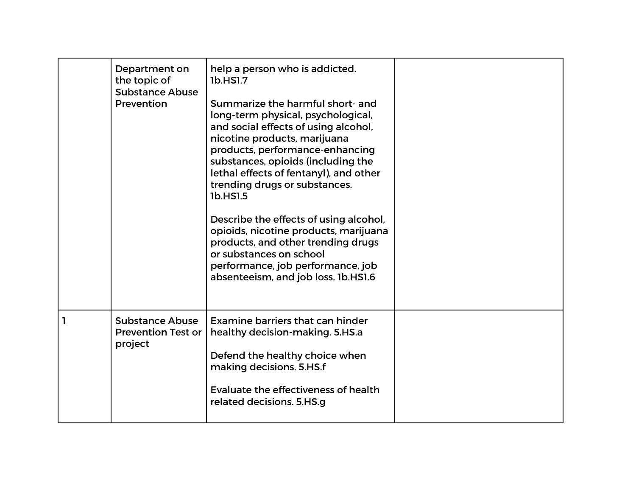|   | Department on<br>the topic of<br><b>Substance Abuse</b><br>Prevention | help a person who is addicted.<br>1b.HS1.7<br>Summarize the harmful short- and<br>long-term physical, psychological,<br>and social effects of using alcohol,<br>nicotine products, marijuana<br>products, performance-enhancing<br>substances, opioids (including the<br>lethal effects of fentanyl), and other<br>trending drugs or substances.<br>1b.HS1.5<br>Describe the effects of using alcohol,<br>opioids, nicotine products, marijuana<br>products, and other trending drugs<br>or substances on school<br>performance, job performance, job<br>absenteeism, and job loss. 1b.HS1.6 |  |
|---|-----------------------------------------------------------------------|----------------------------------------------------------------------------------------------------------------------------------------------------------------------------------------------------------------------------------------------------------------------------------------------------------------------------------------------------------------------------------------------------------------------------------------------------------------------------------------------------------------------------------------------------------------------------------------------|--|
| ı | <b>Substance Abuse</b><br><b>Prevention Test or</b><br>project        | Examine barriers that can hinder<br>healthy decision-making. 5.HS.a<br>Defend the healthy choice when<br>making decisions. 5.HS.f<br>Evaluate the effectiveness of health<br>related decisions. 5.HS.g                                                                                                                                                                                                                                                                                                                                                                                       |  |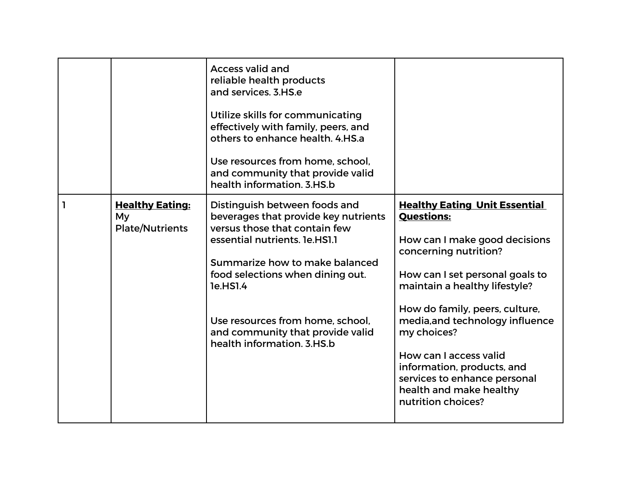|                                                        | <b>Access valid and</b><br>reliable health products<br>and services, 3.HS.e<br>Utilize skills for communicating<br>effectively with family, peers, and<br>others to enhance health, 4.HS.a<br>Use resources from home, school,<br>and community that provide valid<br>health information, 3.HS.b                                |                                                                                                                                                                                                                                                                                                                                                                                                                      |
|--------------------------------------------------------|---------------------------------------------------------------------------------------------------------------------------------------------------------------------------------------------------------------------------------------------------------------------------------------------------------------------------------|----------------------------------------------------------------------------------------------------------------------------------------------------------------------------------------------------------------------------------------------------------------------------------------------------------------------------------------------------------------------------------------------------------------------|
| <b>Healthy Eating:</b><br>My<br><b>Plate/Nutrients</b> | Distinguish between foods and<br>beverages that provide key nutrients<br>versus those that contain few<br>essential nutrients. 1e.HS1.1<br>Summarize how to make balanced<br>food selections when dining out.<br>1e.HS1.4<br>Use resources from home, school,<br>and community that provide valid<br>health information, 3.HS.b | <b>Healthy Eating Unit Essential</b><br><b>Questions:</b><br>How can I make good decisions<br>concerning nutrition?<br>How can I set personal goals to<br>maintain a healthy lifestyle?<br>How do family, peers, culture,<br>media, and technology influence<br>my choices?<br>How can I access valid<br>information, products, and<br>services to enhance personal<br>health and make healthy<br>nutrition choices? |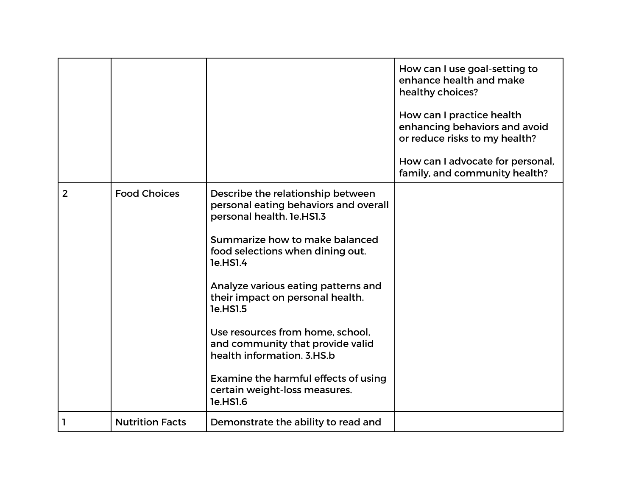|                |                        |                                                                                                                                                                                                                                                                                                                                                                                                                                                                             | How can I use goal-setting to<br>enhance health and make<br>healthy choices?<br>How can I practice health<br>enhancing behaviors and avoid<br>or reduce risks to my health?<br>How can I advocate for personal,<br>family, and community health? |
|----------------|------------------------|-----------------------------------------------------------------------------------------------------------------------------------------------------------------------------------------------------------------------------------------------------------------------------------------------------------------------------------------------------------------------------------------------------------------------------------------------------------------------------|--------------------------------------------------------------------------------------------------------------------------------------------------------------------------------------------------------------------------------------------------|
| $\overline{2}$ | <b>Food Choices</b>    | Describe the relationship between<br>personal eating behaviors and overall<br>personal health. 1e.HS1.3<br>Summarize how to make balanced<br>food selections when dining out.<br>1e.HS1.4<br>Analyze various eating patterns and<br>their impact on personal health.<br>1e.HS1.5<br>Use resources from home, school,<br>and community that provide valid<br>health information, 3.HS.b<br>Examine the harmful effects of using<br>certain weight-loss measures.<br>1e.HS1.6 |                                                                                                                                                                                                                                                  |
|                | <b>Nutrition Facts</b> | Demonstrate the ability to read and                                                                                                                                                                                                                                                                                                                                                                                                                                         |                                                                                                                                                                                                                                                  |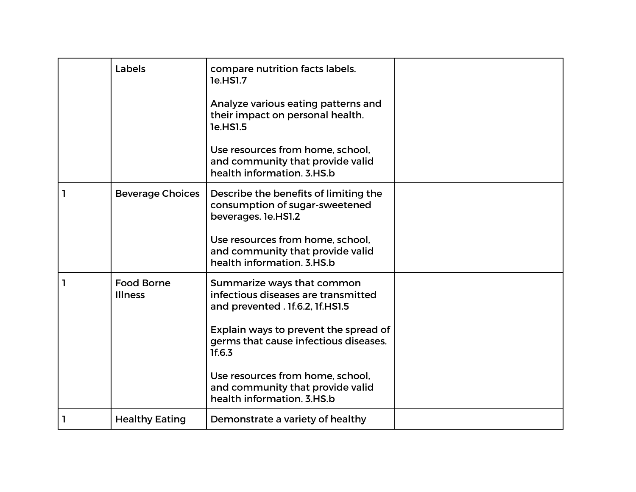| Labels                              | compare nutrition facts labels.<br>1e.HS1.7<br>Analyze various eating patterns and<br>their impact on personal health.<br>1e.HS1.5                                                                                                    |  |
|-------------------------------------|---------------------------------------------------------------------------------------------------------------------------------------------------------------------------------------------------------------------------------------|--|
|                                     | Use resources from home, school.<br>and community that provide valid<br>health information. 3.HS.b                                                                                                                                    |  |
| <b>Beverage Choices</b>             | Describe the benefits of limiting the<br>consumption of sugar-sweetened<br>beverages. 1e.HS1.2<br>Use resources from home, school,<br>and community that provide valid<br>health information, 3.HS.b                                  |  |
| <b>Food Borne</b><br><b>Illness</b> | Summarize ways that common<br>infectious diseases are transmitted<br>and prevented . 1f.6.2, 1f.HS1.5<br>Explain ways to prevent the spread of<br>germs that cause infectious diseases.<br>1f.6.3<br>Use resources from home, school, |  |
|                                     | and community that provide valid<br>health information. 3.HS.b                                                                                                                                                                        |  |
| <b>Healthy Eating</b>               | Demonstrate a variety of healthy                                                                                                                                                                                                      |  |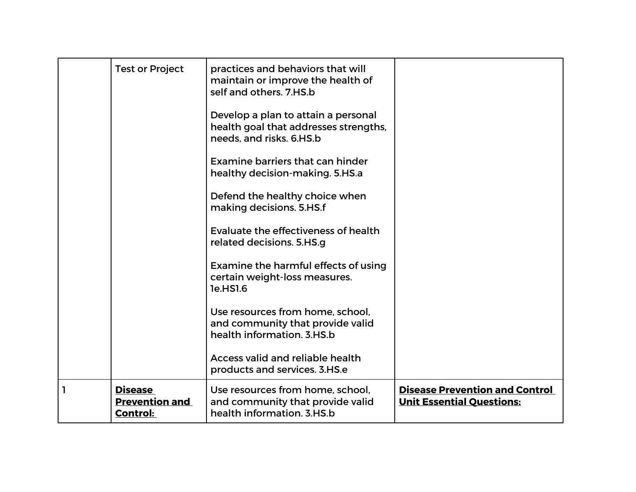|   | <b>Test or Project</b>                                     | practices and behaviors that will<br>maintain or improve the health of<br>self and others. 7.HS.b        |                                                                           |
|---|------------------------------------------------------------|----------------------------------------------------------------------------------------------------------|---------------------------------------------------------------------------|
|   |                                                            | Develop a plan to attain a personal<br>health goal that addresses strengths,<br>needs, and risks. 6.HS.b |                                                                           |
|   |                                                            | Examine barriers that can hinder<br>healthy decision-making. 5.HS.a                                      |                                                                           |
|   |                                                            | Defend the healthy choice when<br>making decisions. 5.HS.f                                               |                                                                           |
|   |                                                            | Evaluate the effectiveness of health<br>related decisions. 5.HS.g                                        |                                                                           |
|   |                                                            | Examine the harmful effects of using<br>certain weight-loss measures.<br>1e.HS1.6                        |                                                                           |
|   |                                                            | Use resources from home, school,<br>and community that provide valid<br>health information, 3.HS.b       |                                                                           |
|   |                                                            | <b>Access valid and reliable health</b><br>products and services. 3.HS.e                                 |                                                                           |
| 1 | <b>Disease</b><br><b>Prevention and</b><br><b>Control:</b> | Use resources from home, school,<br>and community that provide valid<br>health information. 3.HS.b       | <b>Disease Prevention and Control</b><br><b>Unit Essential Questions:</b> |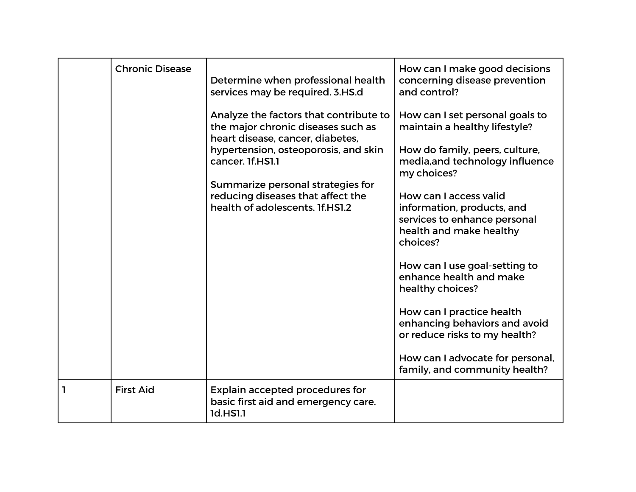|              | <b>Chronic Disease</b> | Determine when professional health<br>services may be required. 3.HS.d                                           | How can I make good decisions<br>concerning disease prevention<br>and control?                                              |
|--------------|------------------------|------------------------------------------------------------------------------------------------------------------|-----------------------------------------------------------------------------------------------------------------------------|
|              |                        | Analyze the factors that contribute to<br>the major chronic diseases such as<br>heart disease, cancer, diabetes, | How can I set personal goals to<br>maintain a healthy lifestyle?                                                            |
|              |                        | hypertension, osteoporosis, and skin<br>cancer. 1f.HS1.1                                                         | How do family, peers, culture,<br>media, and technology influence<br>my choices?                                            |
|              |                        | Summarize personal strategies for<br>reducing diseases that affect the<br>health of adolescents. If.HS1.2        | How can I access valid<br>information, products, and<br>services to enhance personal<br>health and make healthy<br>choices? |
|              |                        |                                                                                                                  | How can I use goal-setting to<br>enhance health and make<br>healthy choices?                                                |
|              |                        |                                                                                                                  | How can I practice health<br>enhancing behaviors and avoid<br>or reduce risks to my health?                                 |
|              |                        |                                                                                                                  | How can I advocate for personal,<br>family, and community health?                                                           |
| $\mathbf{I}$ | <b>First Aid</b>       | <b>Explain accepted procedures for</b><br>basic first aid and emergency care.<br>1d.HS1.1                        |                                                                                                                             |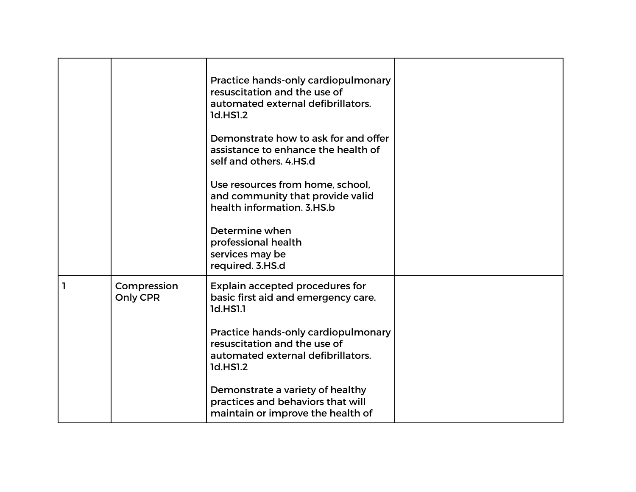|   |                         | Practice hands-only cardiopulmonary<br>resuscitation and the use of<br>automated external defibrillators.<br>1d.HS1.2<br>Demonstrate how to ask for and offer<br>assistance to enhance the health of<br>self and others. 4.HS.d<br>Use resources from home, school,<br>and community that provide valid<br>health information. 3.HS.b<br>Determine when<br>professional health<br>services may be<br>required. 3.HS.d |  |
|---|-------------------------|-----------------------------------------------------------------------------------------------------------------------------------------------------------------------------------------------------------------------------------------------------------------------------------------------------------------------------------------------------------------------------------------------------------------------|--|
| 1 | Compression<br>Only CPR | <b>Explain accepted procedures for</b><br>basic first aid and emergency care.<br>1d.HS1.1<br>Practice hands-only cardiopulmonary<br>resuscitation and the use of<br>automated external defibrillators.<br>1d.HS1.2<br>Demonstrate a variety of healthy<br>practices and behaviors that will<br>maintain or improve the health of                                                                                      |  |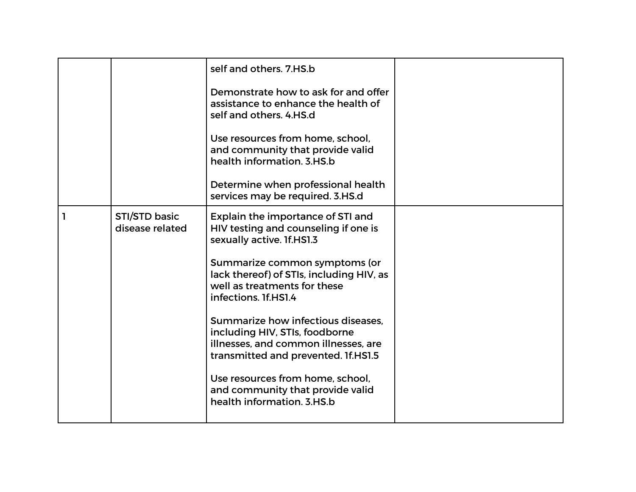|   |                                  | self and others. 7.HS.b<br>Demonstrate how to ask for and offer<br>assistance to enhance the health of<br>self and others. 4.HS.d<br>Use resources from home, school,<br>and community that provide valid<br>health information. 3.HS.b<br>Determine when professional health                                                                                                                                                                                                                            |  |
|---|----------------------------------|----------------------------------------------------------------------------------------------------------------------------------------------------------------------------------------------------------------------------------------------------------------------------------------------------------------------------------------------------------------------------------------------------------------------------------------------------------------------------------------------------------|--|
|   |                                  | services may be required. 3.HS.d                                                                                                                                                                                                                                                                                                                                                                                                                                                                         |  |
| 1 | STI/STD basic<br>disease related | Explain the importance of STI and<br>HIV testing and counseling if one is<br>sexually active. 1f.HS1.3<br>Summarize common symptoms (or<br>lack thereof) of STIs, including HIV, as<br>well as treatments for these<br>infections. If.HS1.4<br>Summarize how infectious diseases.<br>including HIV, STIs, foodborne<br>illnesses, and common illnesses, are<br>transmitted and prevented. If.HS1.5<br>Use resources from home, school,<br>and community that provide valid<br>health information, 3.HS.b |  |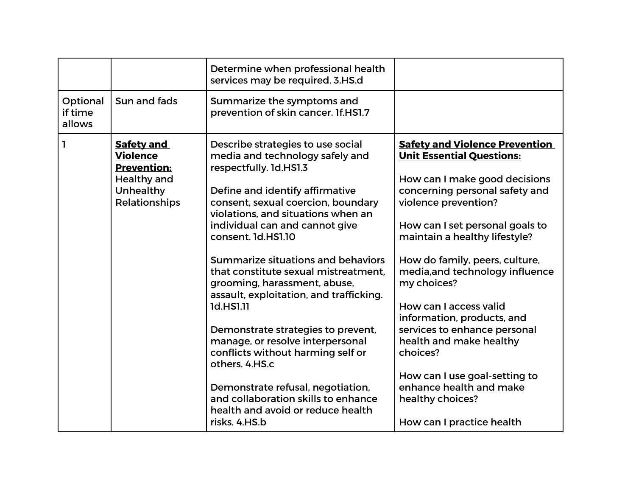|                               |                                                                                                                | Determine when professional health<br>services may be required. 3.HS.d                                                                                                                                                                                                                                                                                                                                                                                                                                                                                                                                                                                                                                         |                                                                                                                                                                                                                                                                                                                                                                                                                                                                                                                                                                          |
|-------------------------------|----------------------------------------------------------------------------------------------------------------|----------------------------------------------------------------------------------------------------------------------------------------------------------------------------------------------------------------------------------------------------------------------------------------------------------------------------------------------------------------------------------------------------------------------------------------------------------------------------------------------------------------------------------------------------------------------------------------------------------------------------------------------------------------------------------------------------------------|--------------------------------------------------------------------------------------------------------------------------------------------------------------------------------------------------------------------------------------------------------------------------------------------------------------------------------------------------------------------------------------------------------------------------------------------------------------------------------------------------------------------------------------------------------------------------|
| Optional<br>if time<br>allows | Sun and fads                                                                                                   | Summarize the symptoms and<br>prevention of skin cancer. If.HS1.7                                                                                                                                                                                                                                                                                                                                                                                                                                                                                                                                                                                                                                              |                                                                                                                                                                                                                                                                                                                                                                                                                                                                                                                                                                          |
| ı                             | <b>Safety and</b><br><b>Violence</b><br><b>Prevention:</b><br><b>Healthy and</b><br>Unhealthy<br>Relationships | Describe strategies to use social<br>media and technology safely and<br>respectfully. 1d.HS1.3<br>Define and identify affirmative<br>consent, sexual coercion, boundary<br>violations, and situations when an<br>individual can and cannot give<br>consent. 1d.HS1.10<br>Summarize situations and behaviors<br>that constitute sexual mistreatment.<br>grooming, harassment, abuse,<br>assault, exploitation, and trafficking.<br>1d.HS1.11<br>Demonstrate strategies to prevent,<br>manage, or resolve interpersonal<br>conflicts without harming self or<br>others, 4.HS.c<br>Demonstrate refusal, negotiation,<br>and collaboration skills to enhance<br>health and avoid or reduce health<br>risks. 4.HS.b | <b>Safety and Violence Prevention</b><br><b>Unit Essential Questions:</b><br>How can I make good decisions<br>concerning personal safety and<br>violence prevention?<br>How can I set personal goals to<br>maintain a healthy lifestyle?<br>How do family, peers, culture,<br>media, and technology influence<br>my choices?<br>How can I access valid<br>information, products, and<br>services to enhance personal<br>health and make healthy<br>choices?<br>How can I use goal-setting to<br>enhance health and make<br>healthy choices?<br>How can I practice health |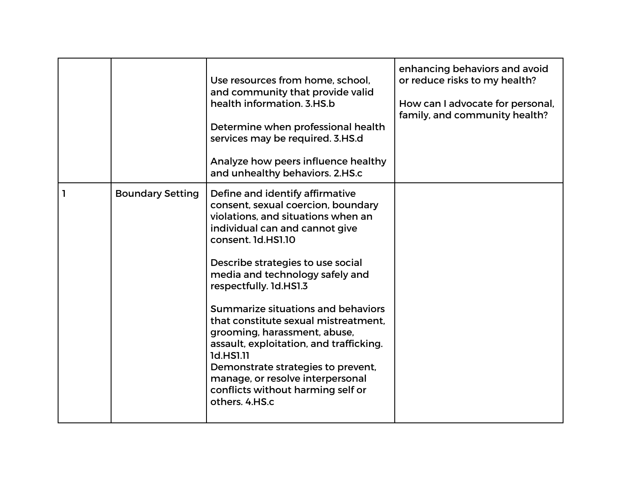|              |                         | Use resources from home, school,<br>and community that provide valid<br>health information. 3.HS.b<br>Determine when professional health<br>services may be required. 3.HS.d<br>Analyze how peers influence healthy<br>and unhealthy behaviors. 2.HS.c                                                                                                                                                                                                                                                                                                                       | enhancing behaviors and avoid<br>or reduce risks to my health?<br>How can I advocate for personal,<br>family, and community health? |
|--------------|-------------------------|------------------------------------------------------------------------------------------------------------------------------------------------------------------------------------------------------------------------------------------------------------------------------------------------------------------------------------------------------------------------------------------------------------------------------------------------------------------------------------------------------------------------------------------------------------------------------|-------------------------------------------------------------------------------------------------------------------------------------|
| $\mathbf{1}$ | <b>Boundary Setting</b> | Define and identify affirmative<br>consent, sexual coercion, boundary<br>violations, and situations when an<br>individual can and cannot give<br>consent. 1d.HS1.10<br>Describe strategies to use social<br>media and technology safely and<br>respectfully. 1d.HS1.3<br>Summarize situations and behaviors<br>that constitute sexual mistreatment.<br>grooming, harassment, abuse,<br>assault, exploitation, and trafficking.<br>1d.HS1.11<br>Demonstrate strategies to prevent,<br>manage, or resolve interpersonal<br>conflicts without harming self or<br>others. 4.HS.c |                                                                                                                                     |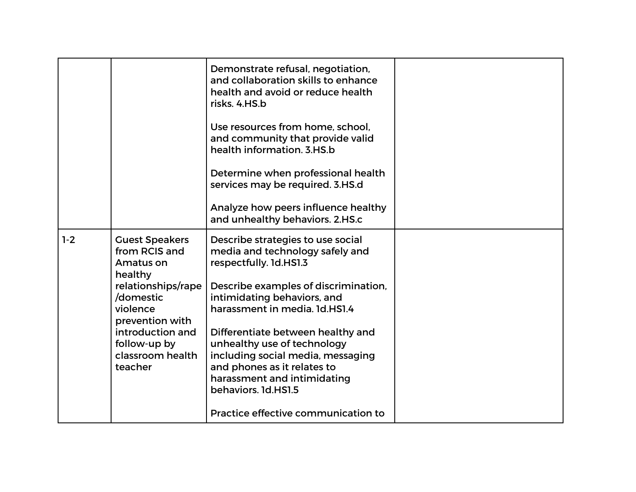|       |                                                                 | Demonstrate refusal, negotiation,<br>and collaboration skills to enhance<br>health and avoid or reduce health<br>risks. 4.HS.b<br>Use resources from home, school,<br>and community that provide valid<br>health information, 3.HS.b<br>Determine when professional health |  |
|-------|-----------------------------------------------------------------|----------------------------------------------------------------------------------------------------------------------------------------------------------------------------------------------------------------------------------------------------------------------------|--|
|       |                                                                 | services may be required. 3.HS.d<br>Analyze how peers influence healthy                                                                                                                                                                                                    |  |
|       |                                                                 | and unhealthy behaviors. 2.HS.c                                                                                                                                                                                                                                            |  |
| $1-2$ | <b>Guest Speakers</b><br>from RCIS and<br>Amatus on<br>healthy  | Describe strategies to use social<br>media and technology safely and<br>respectfully. 1d.HS1.3                                                                                                                                                                             |  |
|       | relationships/rape<br>/domestic<br>violence<br>prevention with  | Describe examples of discrimination,<br>intimidating behaviors, and<br>harassment in media. 1d.HS1.4                                                                                                                                                                       |  |
|       | introduction and<br>follow-up by<br>classroom health<br>teacher | Differentiate between healthy and<br>unhealthy use of technology<br>including social media, messaging<br>and phones as it relates to<br>harassment and intimidating<br>behaviors. 1d.HS1.5                                                                                 |  |
|       |                                                                 | Practice effective communication to                                                                                                                                                                                                                                        |  |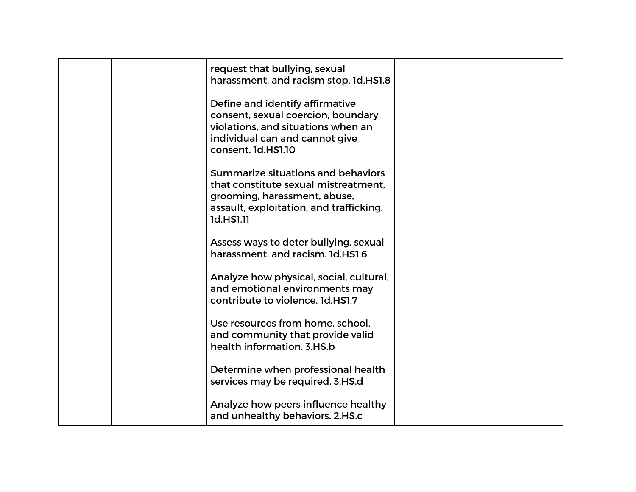|  | request that bullying, sexual<br>harassment, and racism stop. 1d.HS1.8                                                                                              |  |
|--|---------------------------------------------------------------------------------------------------------------------------------------------------------------------|--|
|  | Define and identify affirmative<br>consent, sexual coercion, boundary<br>violations, and situations when an<br>individual can and cannot give<br>consent. 1d.HS1.10 |  |
|  | Summarize situations and behaviors<br>that constitute sexual mistreatment.<br>grooming, harassment, abuse,<br>assault, exploitation, and trafficking.<br>1d.HS1.11  |  |
|  | Assess ways to deter bullying, sexual<br>harassment, and racism. 1d.HS1.6                                                                                           |  |
|  | Analyze how physical, social, cultural,<br>and emotional environments may<br>contribute to violence. 1d.HS1.7                                                       |  |
|  | Use resources from home, school,<br>and community that provide valid<br>health information. 3.HS.b                                                                  |  |
|  | Determine when professional health<br>services may be required. 3.HS.d                                                                                              |  |
|  | Analyze how peers influence healthy<br>and unhealthy behaviors. 2.HS.c                                                                                              |  |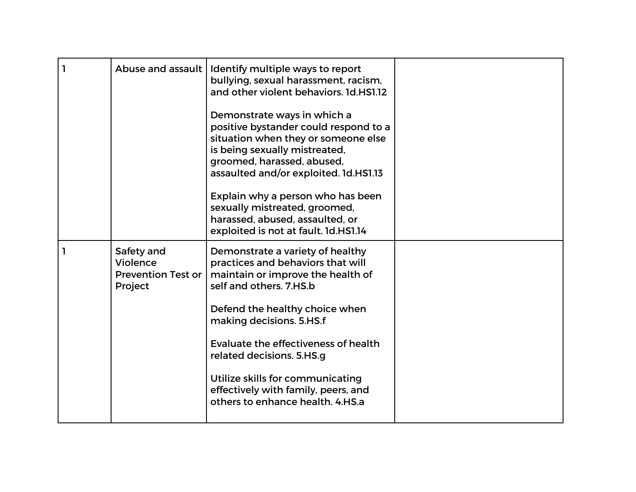| 1 | Abuse and assault                                              | Identify multiple ways to report<br>bullying, sexual harassment, racism,<br>and other violent behaviors. 1d.HS1.12<br>Demonstrate ways in which a<br>positive bystander could respond to a<br>situation when they or someone else<br>is being sexually mistreated,<br>groomed, harassed, abused,<br>assaulted and/or exploited. 1d.HS1.13<br>Explain why a person who has been<br>sexually mistreated, groomed,<br>harassed, abused, assaulted, or<br>exploited is not at fault. 1d.HS1.14 |  |
|---|----------------------------------------------------------------|--------------------------------------------------------------------------------------------------------------------------------------------------------------------------------------------------------------------------------------------------------------------------------------------------------------------------------------------------------------------------------------------------------------------------------------------------------------------------------------------|--|
|   | Safety and<br>Violence<br><b>Prevention Test or</b><br>Project | Demonstrate a variety of healthy<br>practices and behaviors that will<br>maintain or improve the health of<br>self and others. 7.HS.b<br>Defend the healthy choice when<br>making decisions. 5.HS.f<br>Evaluate the effectiveness of health<br>related decisions. 5.HS.g<br>Utilize skills for communicating<br>effectively with family, peers, and<br>others to enhance health. 4.HS.a                                                                                                    |  |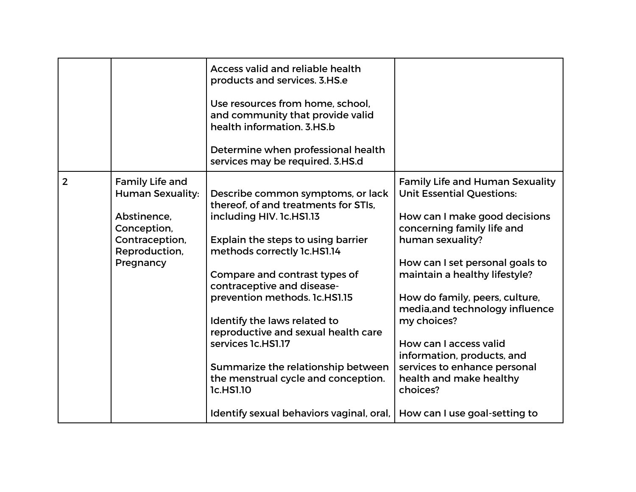|                |                                                                                                                                 | <b>Access valid and reliable health</b><br>products and services. 3.HS.e<br>Use resources from home, school,<br>and community that provide valid<br>health information, 3.HS.b<br>Determine when professional health<br>services may be required. 3.HS.d                                                                                                                                                                                                                                                      |                                                                                                                                                                                                                                                                                                                                                                                                                                                                                       |
|----------------|---------------------------------------------------------------------------------------------------------------------------------|---------------------------------------------------------------------------------------------------------------------------------------------------------------------------------------------------------------------------------------------------------------------------------------------------------------------------------------------------------------------------------------------------------------------------------------------------------------------------------------------------------------|---------------------------------------------------------------------------------------------------------------------------------------------------------------------------------------------------------------------------------------------------------------------------------------------------------------------------------------------------------------------------------------------------------------------------------------------------------------------------------------|
| $\overline{2}$ | <b>Family Life and</b><br><b>Human Sexuality:</b><br>Abstinence,<br>Conception,<br>Contraception,<br>Reproduction,<br>Pregnancy | Describe common symptoms, or lack<br>thereof, of and treatments for STIs,<br>including HIV. 1c.HS1.13<br>Explain the steps to using barrier<br>methods correctly 1c.HS1.14<br>Compare and contrast types of<br>contraceptive and disease-<br>prevention methods. 1c.HS1.15<br>Identify the laws related to<br>reproductive and sexual health care<br>services 1c.HS1.17<br>Summarize the relationship between<br>the menstrual cycle and conception.<br>1c.HS1.10<br>Identify sexual behaviors vaginal, oral, | <b>Family Life and Human Sexuality</b><br><b>Unit Essential Questions:</b><br>How can I make good decisions<br>concerning family life and<br>human sexuality?<br>How can I set personal goals to<br>maintain a healthy lifestyle?<br>How do family, peers, culture,<br>media, and technology influence<br>my choices?<br>How can I access valid<br>information, products, and<br>services to enhance personal<br>health and make healthy<br>choices?<br>How can I use goal-setting to |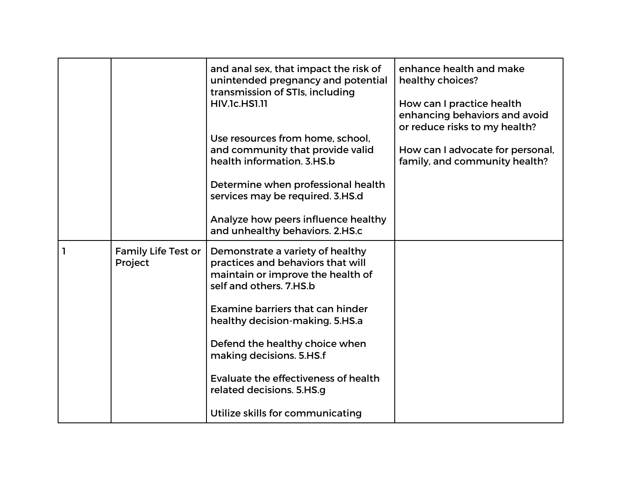|              |                                       | and anal sex, that impact the risk of<br>unintended pregnancy and potential<br>transmission of STIs, including<br><b>HIV.1c.HS1.11</b><br>Use resources from home, school.<br>and community that provide valid<br>health information. 3.HS.b<br>Determine when professional health<br>services may be required. 3.HS.d<br>Analyze how peers influence healthy<br>and unhealthy behaviors. 2.HS.c | enhance health and make<br>healthy choices?<br>How can I practice health<br>enhancing behaviors and avoid<br>or reduce risks to my health?<br>How can I advocate for personal,<br>family, and community health? |
|--------------|---------------------------------------|--------------------------------------------------------------------------------------------------------------------------------------------------------------------------------------------------------------------------------------------------------------------------------------------------------------------------------------------------------------------------------------------------|-----------------------------------------------------------------------------------------------------------------------------------------------------------------------------------------------------------------|
| $\mathbf{I}$ | <b>Family Life Test or</b><br>Project | Demonstrate a variety of healthy<br>practices and behaviors that will<br>maintain or improve the health of<br>self and others. 7.HS.b<br>Examine barriers that can hinder<br>healthy decision-making. 5.HS.a<br>Defend the healthy choice when<br>making decisions. 5.HS.f<br>Evaluate the effectiveness of health<br>related decisions. 5.HS.g<br>Utilize skills for communicating              |                                                                                                                                                                                                                 |